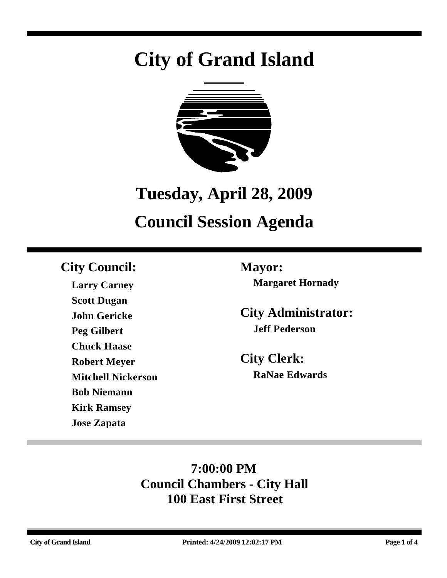# **City of Grand Island**



## **Tuesday, April 28, 2009**

# **Council Session Agenda**

### **City Council: Mayor:**

**Larry Carney Scott Dugan John Gericke Peg Gilbert Chuck Haase Robert Meyer Mitchell Nickerson Bob Niemann Kirk Ramsey Jose Zapata**

**Margaret Hornady**

**City Administrator: Jeff Pederson**

**City Clerk: RaNae Edwards**

### **7:00:00 PM Council Chambers - City Hall 100 East First Street**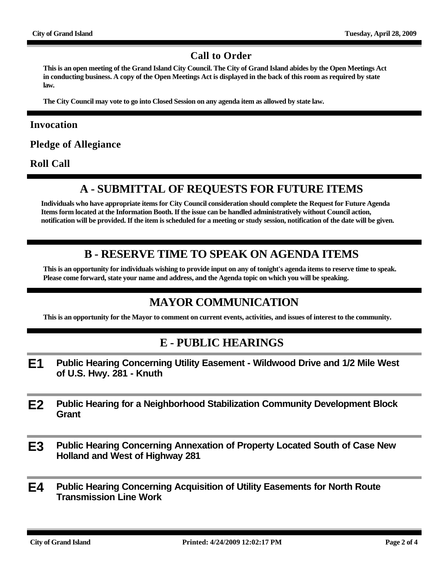#### **Call to Order**

**This is an open meeting of the Grand Island City Council. The City of Grand Island abides by the Open Meetings Act in conducting business. A copy of the Open Meetings Act is displayed in the back of this room as required by state law.**

**The City Council may vote to go into Closed Session on any agenda item as allowed by state law.**

#### **Invocation**

**Pledge of Allegiance**

**Roll Call**

#### **A - SUBMITTAL OF REQUESTS FOR FUTURE ITEMS**

**Individuals who have appropriate items for City Council consideration should complete the Request for Future Agenda Items form located at the Information Booth. If the issue can be handled administratively without Council action, notification will be provided. If the item is scheduled for a meeting or study session, notification of the date will be given.**

#### **B - RESERVE TIME TO SPEAK ON AGENDA ITEMS**

**This is an opportunity for individuals wishing to provide input on any of tonight's agenda items to reserve time to speak. Please come forward, state your name and address, and the Agenda topic on which you will be speaking.**

#### **MAYOR COMMUNICATION**

**This is an opportunity for the Mayor to comment on current events, activities, and issues of interest to the community.**

#### **E - PUBLIC HEARINGS**

- **E1 Public Hearing Concerning Utility Easement Wildwood Drive and 1/2 Mile West of U.S. Hwy. 281 - Knuth**
- **E2 Public Hearing for a Neighborhood Stabilization Community Development Block Grant**
- **E3 Public Hearing Concerning Annexation of Property Located South of Case New Holland and West of Highway 281**
- **E4 Public Hearing Concerning Acquisition of Utility Easements for North Route Transmission Line Work**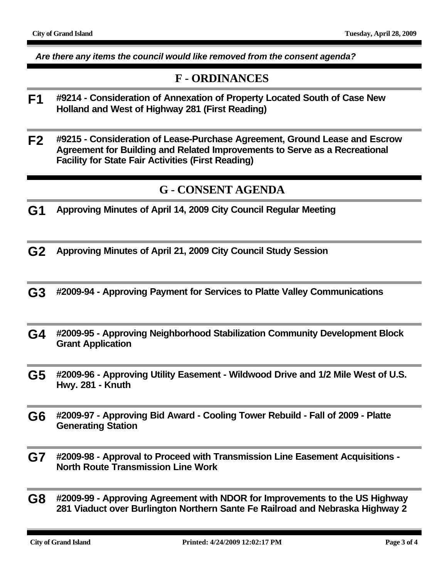*Are there any items the council would like removed from the consent agenda?*

#### **F - ORDINANCES**

- **F1 #9214 Consideration of Annexation of Property Located South of Case New Holland and West of Highway 281 (First Reading)**
- **F2 #9215 Consideration of Lease-Purchase Agreement, Ground Lease and Escrow Agreement for Building and Related Improvements to Serve as a Recreational Facility for State Fair Activities (First Reading)**

#### **G - CONSENT AGENDA**

- **G1 Approving Minutes of April 14, 2009 City Council Regular Meeting**
- **G2 Approving Minutes of April 21, 2009 City Council Study Session**
- **G3 #2009-94 Approving Payment for Services to Platte Valley Communications**
- **G4 #2009-95 Approving Neighborhood Stabilization Community Development Block Grant Application**
- **G5 #2009-96 Approving Utility Easement Wildwood Drive and 1/2 Mile West of U.S. Hwy. 281 - Knuth**
- **G6 #2009-97 Approving Bid Award Cooling Tower Rebuild Fall of 2009 Platte Generating Station**
- **G7 #2009-98 Approval to Proceed with Transmission Line Easement Acquisitions North Route Transmission Line Work**
- **G8 #2009-99 Approving Agreement with NDOR for Improvements to the US Highway 281 Viaduct over Burlington Northern Sante Fe Railroad and Nebraska Highway 2**